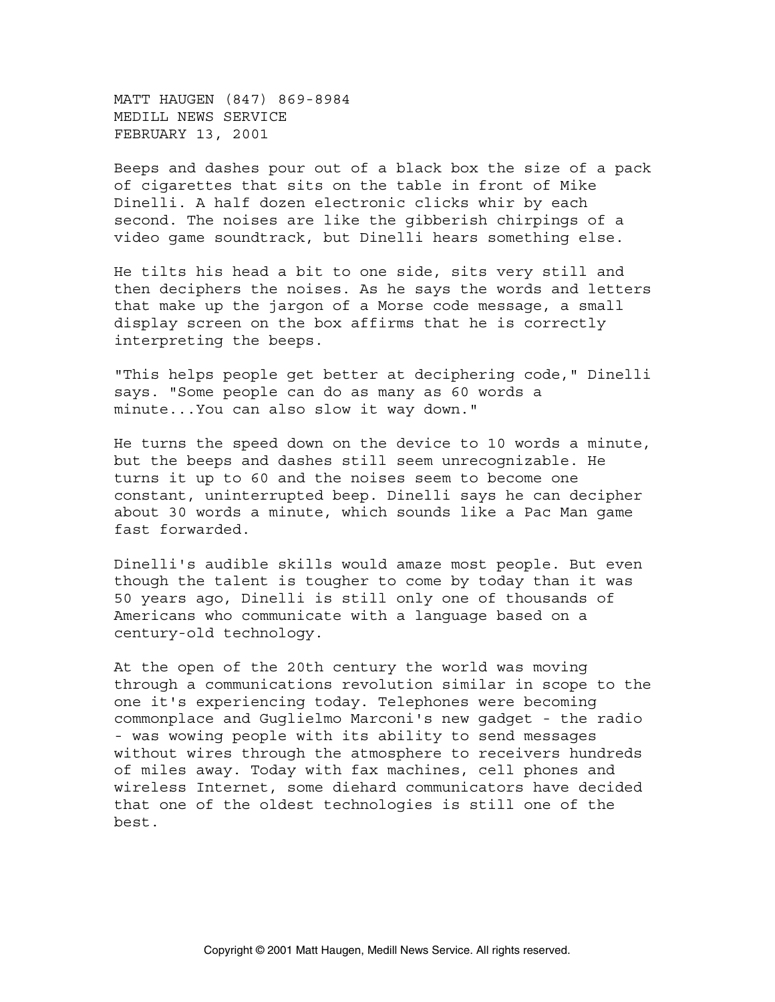MATT HAUGEN (847) 869-8984 MEDILL NEWS SERVICE FEBRUARY 13, 2001

Beeps and dashes pour out of a black box the size of a pack of cigarettes that sits on the table in front of Mike Dinelli. A half dozen electronic clicks whir by each second. The noises are like the gibberish chirpings of a video game soundtrack, but Dinelli hears something else.

He tilts his head a bit to one side, sits very still and then deciphers the noises. As he says the words and letters that make up the jargon of a Morse code message, a small display screen on the box affirms that he is correctly interpreting the beeps.

"This helps people get better at deciphering code," Dinelli says. "Some people can do as many as 60 words a minute...You can also slow it way down."

He turns the speed down on the device to 10 words a minute, but the beeps and dashes still seem unrecognizable. He turns it up to 60 and the noises seem to become one constant, uninterrupted beep. Dinelli says he can decipher about 30 words a minute, which sounds like a Pac Man game fast forwarded.

Dinelli's audible skills would amaze most people. But even though the talent is tougher to come by today than it was 50 years ago, Dinelli is still only one of thousands of Americans who communicate with a language based on a century-old technology.

At the open of the 20th century the world was moving through a communications revolution similar in scope to the one it's experiencing today. Telephones were becoming commonplace and Guglielmo Marconi's new gadget - the radio - was wowing people with its ability to send messages without wires through the atmosphere to receivers hundreds of miles away. Today with fax machines, cell phones and wireless Internet, some diehard communicators have decided that one of the oldest technologies is still one of the best.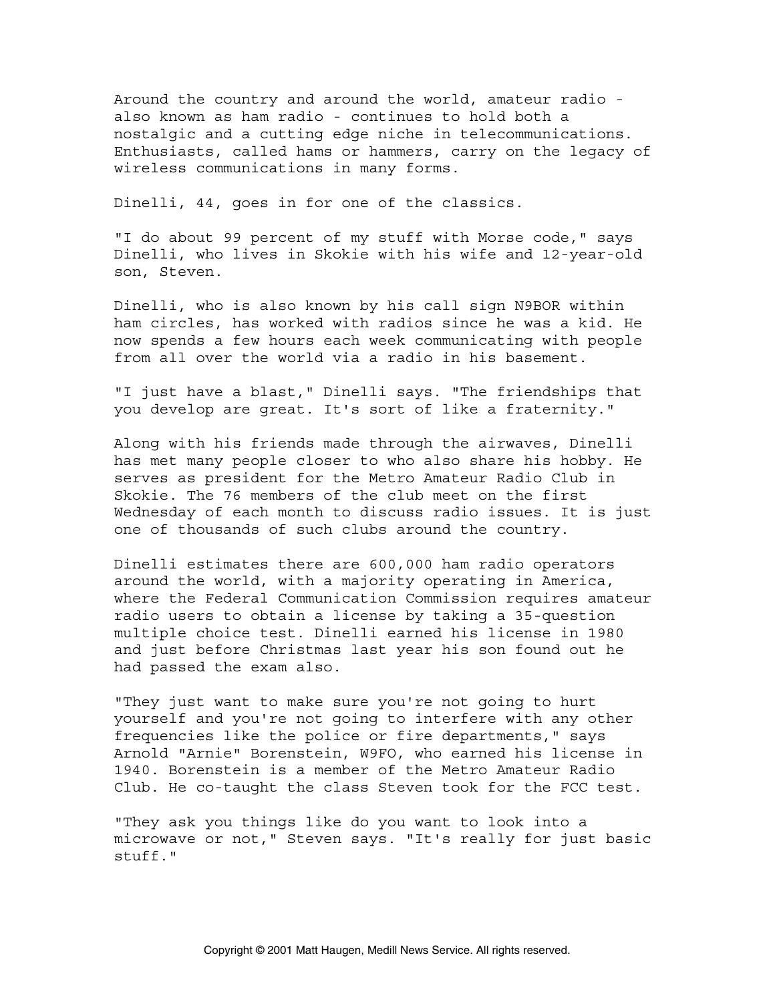Around the country and around the world, amateur radio also known as ham radio - continues to hold both a nostalgic and a cutting edge niche in telecommunications. Enthusiasts, called hams or hammers, carry on the legacy of wireless communications in many forms.

Dinelli, 44, goes in for one of the classics.

"I do about 99 percent of my stuff with Morse code," says Dinelli, who lives in Skokie with his wife and 12-year-old son, Steven.

Dinelli, who is also known by his call sign N9BOR within ham circles, has worked with radios since he was a kid. He now spends a few hours each week communicating with people from all over the world via a radio in his basement.

"I just have a blast," Dinelli says. "The friendships that you develop are great. It's sort of like a fraternity."

Along with his friends made through the airwaves, Dinelli has met many people closer to who also share his hobby. He serves as president for the Metro Amateur Radio Club in Skokie. The 76 members of the club meet on the first Wednesday of each month to discuss radio issues. It is just one of thousands of such clubs around the country.

Dinelli estimates there are 600,000 ham radio operators around the world, with a majority operating in America, where the Federal Communication Commission requires amateur radio users to obtain a license by taking a 35-question multiple choice test. Dinelli earned his license in 1980 and just before Christmas last year his son found out he had passed the exam also.

"They just want to make sure you're not going to hurt yourself and you're not going to interfere with any other frequencies like the police or fire departments," says Arnold "Arnie" Borenstein, W9FO, who earned his license in 1940. Borenstein is a member of the Metro Amateur Radio Club. He co-taught the class Steven took for the FCC test.

"They ask you things like do you want to look into a microwave or not," Steven says. "It's really for just basic stuff."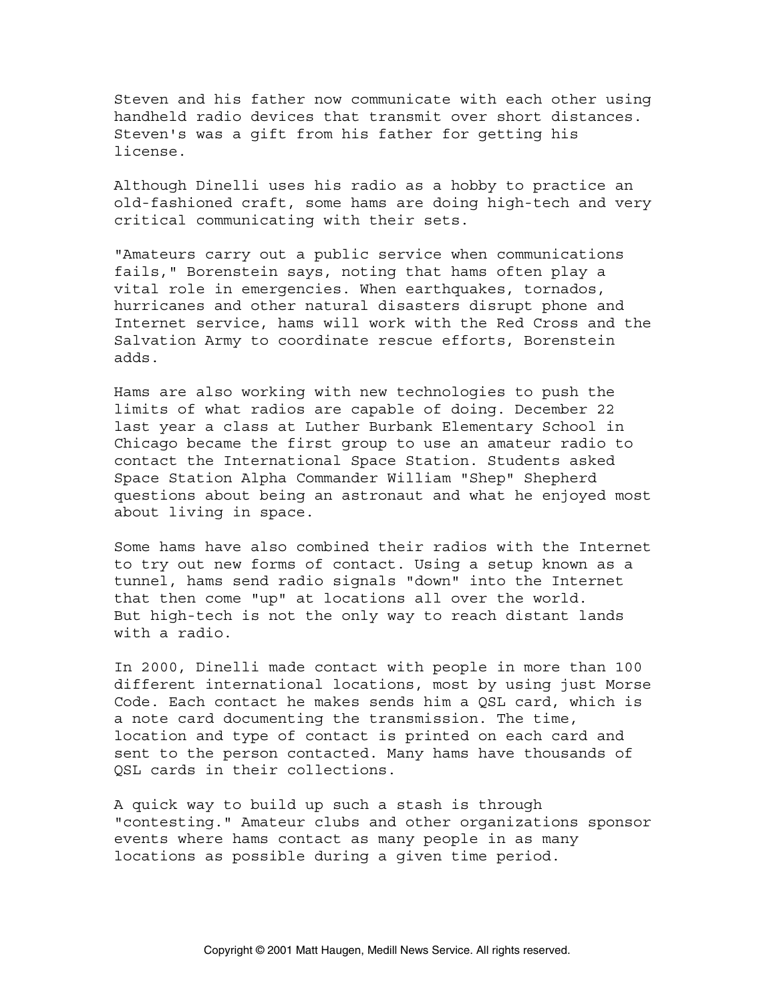Steven and his father now communicate with each other using handheld radio devices that transmit over short distances. Steven's was a gift from his father for getting his license.

Although Dinelli uses his radio as a hobby to practice an old-fashioned craft, some hams are doing high-tech and very critical communicating with their sets.

"Amateurs carry out a public service when communications fails," Borenstein says, noting that hams often play a vital role in emergencies. When earthquakes, tornados, hurricanes and other natural disasters disrupt phone and Internet service, hams will work with the Red Cross and the Salvation Army to coordinate rescue efforts, Borenstein adds.

Hams are also working with new technologies to push the limits of what radios are capable of doing. December 22 last year a class at Luther Burbank Elementary School in Chicago became the first group to use an amateur radio to contact the International Space Station. Students asked Space Station Alpha Commander William "Shep" Shepherd questions about being an astronaut and what he enjoyed most about living in space.

Some hams have also combined their radios with the Internet to try out new forms of contact. Using a setup known as a tunnel, hams send radio signals "down" into the Internet that then come "up" at locations all over the world. But high-tech is not the only way to reach distant lands with a radio.

In 2000, Dinelli made contact with people in more than 100 different international locations, most by using just Morse Code. Each contact he makes sends him a QSL card, which is a note card documenting the transmission. The time, location and type of contact is printed on each card and sent to the person contacted. Many hams have thousands of QSL cards in their collections.

A quick way to build up such a stash is through "contesting." Amateur clubs and other organizations sponsor events where hams contact as many people in as many locations as possible during a given time period.